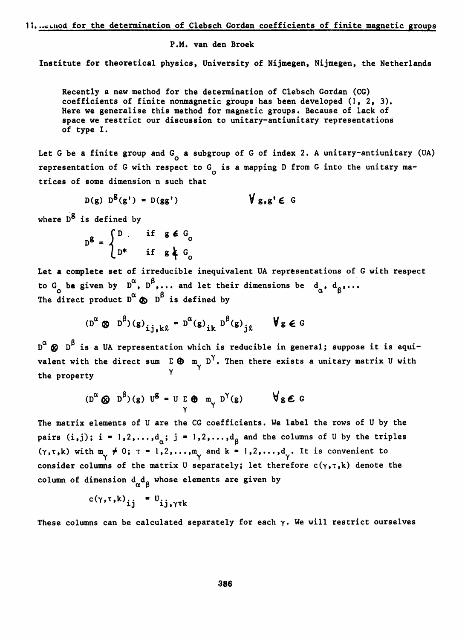## 11. ..cluod for the determination of Clebsch Gordan coefficients of finite magnetic groups

P.M. van den Broek

Institute for theoretical physics, University of Nijmegen, Nijmegen, the Netherlands

Recently a new method for the determination of Clebsch Gordan (CG) coefficients of finite nonmagnetic groups has been developed (1, 2, 3). Here we generalise this method for magnetic groups. Because of lack of space we restrict our discussion to unitary-antiunitary representations of type I.

Let G be a finite group and  $G_q$  a subgroup of G of index 2. A unitary-antiunitary (UA) representation of G with respect to  $G_q$  is a mapping D from G into the unitary matrices of some dimension n such that

 $D(g) D^{g}(g') = D(gg')$   $\forall g,g' \in G$ 

where  $D^g$  is defined by

$$
D^g = \begin{cases} D & \text{if } g \in G_0 \\ D^* & \text{if } g \nmid G_0 \end{cases}
$$

Let a complete set of irreducible inequivalent UA representations of G with respect to G<sub>a</sub> be given by D<sup>o</sup>, D<sup>o</sup>,... and let their dimensions be d<sub>a</sub>, d<sub>o</sub>,... The direct product Da £> is defined by

$$
(\mathbf{D}^{\alpha} \otimes \mathbf{D}^{\beta})(\mathbf{g})_{ij,k\ell} = \mathbf{D}^{\alpha}(\mathbf{g})_{ik} \mathbf{D}^{\beta}(\mathbf{g})_{j\ell} \qquad \forall \mathbf{g} \in \mathbb{G}
$$

D<sup>C</sup>  $\bigcirc$  D<sup>B</sup> is a UA representation which is reducible in general; suppose it is equivalent with the direct sum  $\Sigma$   $\bigoplus$  m<sub>y</sub> D'. Then there exists a unitary matrix U with the property

$$
(\mathbf{D}^{\alpha} \otimes \mathbf{D}^{\beta})(\mathbf{g}) \mathbf{U}^{\beta} = \mathbf{U} \sum_{\gamma} \mathbf{\Theta} \mathbf{m}_{\gamma} \mathbf{D}^{\gamma}(\mathbf{g}) \qquad \forall \mathbf{g} \in \mathbb{G}
$$

The matrix elements of U are the CG coefficients. We label the rows of U by the pairs (i,j); i =  $1, 2, \ldots, d_{\alpha}$ ; j =  $1, 2, \ldots, d_{\beta}$  and the columns of U by the triples  $(\gamma,\tau,k)$  with  $m_{\gamma} \neq 0$ ;  $\tau = 1,2,...,m_{\gamma}$  and  $k = 1,2,...,d_{\gamma}$ . It is convenient to consider columns of the matrix U separately; let therefore  $c(\gamma,\tau,k)$  denote the column of dimension  ${\rm d}_{\alpha}{\rm d}_{\beta}$  whose elements are given by

$$
c(\gamma, \tau, k)_{ij} = U_{ij, \gamma \tau k}
$$

These columns can be calculated separately for each  $\gamma$ . We will restrict ourselves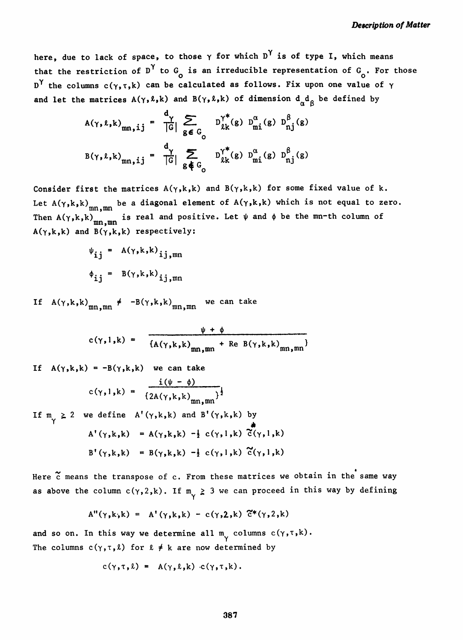here, due to lack of space, to those  $\gamma$  for which  $D^{\gamma}$  is of type I, which means that the restriction of D<sup>Y</sup> to G<sub>O</sub> is an irreducible representation of G<sub>O</sub>. For those D<sup>Y</sup> the columns c( $\gamma$ ,  $\tau$ , k) can be calculated as follows. Fix upon one value of  $\gamma$ and let the matrices  $A(\gamma,\ell,k)$  and  $B(\gamma,\ell,k)$  of dimension  $d_{\alpha}d_{\beta}$  be defined by

$$
A(\gamma, \ell, k)_{mn, ij} = \frac{d_{\gamma}}{|G|} \sum_{g \in G_{\text{O}}} D_{\ell k}^{\gamma^*}(g) D_{mi}^{\alpha}(g) D_{nj}^{\beta}(g)
$$
  

$$
B(\gamma, \ell, k)_{mn, ij} = \frac{d_{\gamma}}{|G|} \sum_{g \notin G_{\text{O}}} D_{\ell k}^{\gamma^*}(g) D_{mi}^{\alpha}(g) D_{nj}^{\beta}(g)
$$

Consider first the matrices  $A(\gamma, k, k)$  and  $B(\gamma, k, k)$  for some fixed value of k. Let  $A(\gamma, k, k)_{mn, mn}$  be a diagonal element of  $A(\gamma, k, k)$  which is not equal to zero. Then A(γ,k,k)<sub>mn,mn</sub> is real and positive. Let ψ and φ be the mn-th column of  $A(\gamma,k,k)$  and  $B(\gamma,k,k)$  respectively:

$$
\psi_{ij} = A(\gamma, k, k)_{ij, mn}
$$
  

$$
\phi_{ij} = B(\gamma, k, k)_{ij, mn}
$$

If A(γ,k,k)<sub>mn,mn</sub> ≠ -B(γ,k,k)<sub>mn,mn</sub> we can take

$$
c(\gamma,1,k) = \frac{\psi + \phi}{\{A(\gamma,k,k)\}_{mn,mn} + \text{Re } B(\gamma,k,k)\}_{mn,mn}}
$$

If 
$$
A(\gamma,k,k) = -B(\gamma,k,k)
$$
 we can take  
\n
$$
c(\gamma,1,k) = \frac{i(\psi - \phi)}{\left\{2A(\gamma,k,k)_{mn,mn}\right\}^{\frac{1}{2}}}
$$
\nIf  $m_{\gamma} \ge 2$  we define  $A'(\gamma,k,k)$  and  $B'(\gamma,k,k)$  by  
\n
$$
A'(\gamma,k,k) = A(\gamma,k,k) - \frac{1}{2} c(\gamma,1,k) \tilde{c}(\gamma,1,k)
$$
\n
$$
B'(\gamma,k,k) = B(\gamma,k,k) - \frac{1}{2} c(\gamma,1,k) \tilde{c}(\gamma,1,k)
$$

Here  $\tilde{c}$  means the transpose of c. From these matrices we obtain in the same way as above the column  $c(\gamma, 2, k)$ . If  $m_{\gamma} \geq 3$  we can proceed in this way by defining

$$
A''(\gamma,k,k) = A'(\gamma,k,k) - c(\gamma,2,k) \tilde{c}^*(\gamma,2,k)
$$

and so on. In this way we determine all  $m_{\nu}$  columns  $c(\gamma, \tau, k)$ . The columns  $c(\gamma,\tau,\ell)$  for  $\ell \neq k$  are now determined by

$$
c(\gamma, \tau, \ell) = A(\gamma, \ell, k) c(\gamma, \tau, k).
$$